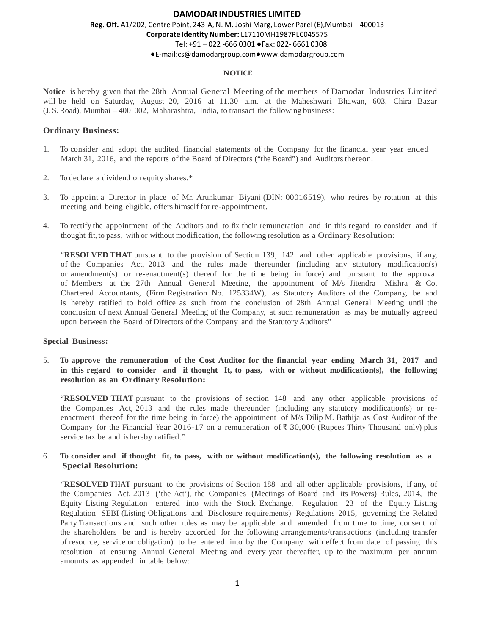#### **NOTICE**

**Notice** is hereby given that the 28th Annual General Meeting of the members of Damodar Industries Limited will be held on Saturday, August 20, 2016 at 11.30 a.m. at the Maheshwari Bhawan, 603, Chira Bazar (J. S. Road), Mumbai – 400 002, Maharashtra, India, to transact the following business:

### **Ordinary Business:**

- 1. To consider and adopt the audited financial statements of the Company for the financial year year ended March 31, 2016, and the reports of the Board of Directors ("the Board") and Auditors thereon.
- 2. To declare a dividend on equity shares.\*
- 3. To appoint a Director in place of Mr. Arunkumar Biyani (DIN: 00016519), who retires by rotation at this meeting and being eligible, offers himself for re-appointment.
- 4. To rectify the appointment of the Auditors and to fix their remuneration and in this regard to consider and if thought fit, to pass, with or without modification, the following resolution as a Ordinary Resolution:

"**RESOLVED THAT** pursuant to the provision of Section 139, 142 and other applicable provisions, if any, of the Companies Act, 2013 and the rules made thereunder (including any statutory modification(s) or amendment(s) or re-enactment(s) thereof for the time being in force) and pursuant to the approval of Members at the 27th Annual General Meeting, the appointment of M/s Jitendra Mishra & Co. Chartered Accountants, (Firm Registration No. 125334W), as Statutory Auditors of the Company, be and is hereby ratified to hold office as such from the conclusion of 28th Annual General Meeting until the conclusion of next Annual General Meeting of the Company, at such remuneration as may be mutually agreed upon between the Board of Directors of the Company and the Statutory Auditors"

## **Special Business:**

5. **To approve the remuneration of the Cost Auditor for the financial year ending March 31, 2017 and in this regard to consider and if thought It, to pass, with or without modification(s), the following resolution as an Ordinary Resolution:**

"**RESOLVED THAT** pursuant to the provisions of section 148 and any other applicable provisions of the Companies Act, 2013 and the rules made thereunder (including any statutory modification(s) or reenactment thereof for the time being in force) the appointment of M/s Dilip M. Bathija as Cost Auditor of the Company for the Financial Year 2016-17 on a remuneration of  $\bar{\bar{\tau}}$  30,000 (Rupees Thirty Thousand only) plus service tax be and is hereby ratified."

## 6. **To consider and if thought fit, to pass, with or without modification(s), the following resolution as a Special Resolution:**

"**RESOLVED THAT** pursuant to the provisions of Section 188 and all other applicable provisions, if any, of the Companies Act, 2013 ('the Act'), the Companies (Meetings of Board and its Powers) Rules, 2014, the Equity Listing Regulation entered into with the Stock Exchange, Regulation 23 of the Equity Listing Regulation SEBI (Listing Obligations and Disclosure requirements) Regulations 2015, governing the Related Party Transactions and such other rules as may be applicable and amended from time to time, consent of the shareholders be and is hereby accorded for the following arrangements/transactions (including transfer of resource, service or obligation) to be entered into by the Company with effect from date of passing this resolution at ensuing Annual General Meeting and every year thereafter, up to the maximum per annum amounts as appended in table below: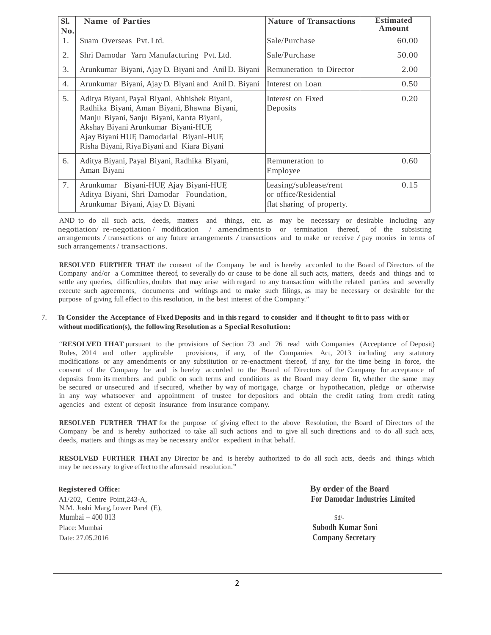| SI.<br>No. | <b>Name of Parties</b>                                                                                                                                                                                                                                                    | <b>Nature of Transactions</b>                                               | <b>Estimated</b><br>Amount |
|------------|---------------------------------------------------------------------------------------------------------------------------------------------------------------------------------------------------------------------------------------------------------------------------|-----------------------------------------------------------------------------|----------------------------|
| 1.         | Suam Overseas Pvt. Ltd.                                                                                                                                                                                                                                                   | Sale/Purchase                                                               | 60.00                      |
| 2.         | Shri Damodar Yarn Manufacturing Pvt. Ltd.                                                                                                                                                                                                                                 | Sale/Purchase                                                               | 50.00                      |
| 3.         | Arunkumar Biyani, Ajay D. Biyani and Anil D. Biyani                                                                                                                                                                                                                       | Remuneration to Director                                                    | 2.00                       |
| 4.         | Arunkumar Biyani, Ajay D. Biyani and Anil D. Biyani                                                                                                                                                                                                                       | Interest on Loan                                                            | 0.50                       |
| 5.         | Aditya Biyani, Payal Biyani, Abhishek Biyani,<br>Radhika Biyani, Aman Biyani, Bhawna Biyani,<br>Manju Biyani, Sanju Biyani, Kanta Biyani,<br>Akshay Biyani Arunkumar Biyani-HUF,<br>Ajay Biyani HUF, Damodarlal Biyani-HUF,<br>Risha Biyani, Riya Biyani and Kiara Biyani | Interest on Fixed<br>Deposits                                               | 0.20                       |
| 6.         | Aditya Biyani, Payal Biyani, Radhika Biyani,<br>Aman Biyani                                                                                                                                                                                                               | Remuneration to<br>Employee                                                 | 0.60                       |
| 7.         | Arunkumar Biyani-HUF, Ajay Biyani-HUF,<br>Aditya Biyani, Shri Damodar Foundation,<br>Arunkumar Biyani, Ajay D. Biyani                                                                                                                                                     | Leasing/sublease/rent<br>or office/Residential<br>flat sharing of property. | 0.15                       |

AND to do all such acts, deeds, matters and things, etc. as may be necessary or desirable including any negotiation/ re-negotiation / modification / amendments to or termination thereof, of the subsisting arrangements / transactions or any future arrangements / transactions and to make or receive / pay monies in terms of such arrangements / transactions.

**RESOLVED FURTHER THAT** the consent of the Company be and is hereby accorded to the Board of Directors of the Company and/or a Committee thereof, to severally do or cause to be done all such acts, matters, deeds and things and to settle any queries, difficulties, doubts that may arise with regard to any transaction with the related parties and severally execute such agreements, documents and writings and to make such filings, as may be necessary or desirable for the purpose of giving full effect to this resolution, in the best interest of the Company."

#### 7. **To Consider the Acceptance of Fixed Deposits and in this regard to consider and if thought to fit to pass with or without modification(s), the following Resolution as a Special Resolution:**

"**RESOLVED THAT** pursuant to the provisions of Section 73 and 76 read with Companies (Acceptance of Deposit) Rules, 2014 and other applicable provisions, if any, of the Companies Act, 2013 including any statutory modifications or any amendments or any substitution or re-enactment thereof, if any, for the time being in force, the consent of the Company be and is hereby accorded to the Board of Directors of the Company for acceptance of deposits from its members and public on such terms and conditions as the Board may deem fit, whether the same may be secured or unsecured and if secured, whether by way of mortgage, charge or hypothecation, pledge or otherwise in any way whatsoever and appointment of trustee for depositors and obtain the credit rating from credit rating agencies and extent of deposit insurance from insurance company.

**RESOLVED FURTHER THAT** for the purpose of giving effect to the above Resolution, the Board of Directors of the Company be and is hereby authorized to take all such actions and to give all such directions and to do all such acts, deeds, matters and things as may be necessary and/or expedient in that behalf.

**RESOLVED FURTHER THAT** any Director be and is hereby authorized to do all such acts, deeds and things which may be necessary to give effect to the aforesaid resolution."

N.M. Joshi Marg, Lower Parel (E),  $Mumbai = 400013$  Sd/-Place: Mumbai **Subodh Kumar Soni** Date: 27.05.2016 **Company Secretary**

**Registered Office: By order of the Board** A1/202, Centre Point,243-A, **For Damodar Industries Limited**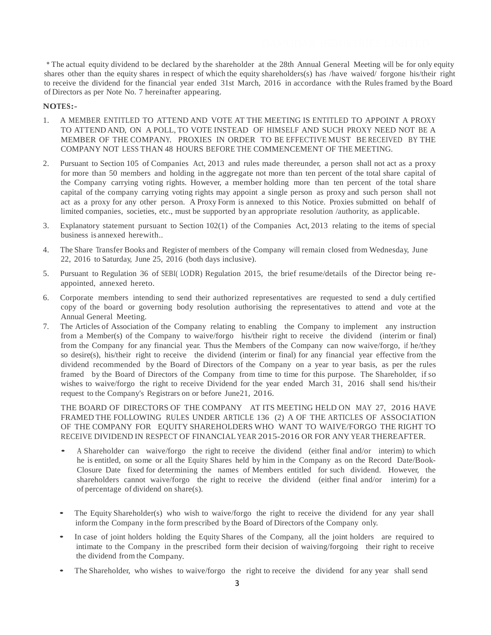\* The actual equity dividend to be declared by the shareholder at the 28th Annual General Meeting will be for only equity shares other than the equity shares in respect of which the equity shareholders(s) has /have waived/ forgone his/their right to receive the dividend for the financial year ended 31st March, 2016 in accordance with the Rules framed by the Board of Directors as per Note No. 7 hereinafter appearing.

### **NOTES:-**

- 1. A MEMBER ENTITLED TO ATTEND AND VOTE AT THE MEETING IS ENTITLED TO APPOINT A PROXY TO ATTEND AND, ON A POLL, TO VOTE INSTEAD OF HIMSELF AND SUCH PROXY NEED NOT BE A MEMBER OF THE COMPANY. PROXIES IN ORDER TO BE EFFECTIVE MUST BE RECEIVED BY THE COMPANY NOT LESS THAN 48 HOURS BEFORE THE COMMENCEMENT OF THE MEETING.
- 2. Pursuant to Section 105 of Companies Act, 2013 and rules made thereunder, a person shall not act as a proxy for more than 50 members and holding in the aggregate not more than ten percent of the total share capital of the Company carrying voting rights. However, a member holding more than ten percent of the total share capital of the company carrying voting rights may appoint a single person as proxy and such person shall not act as a proxy for any other person. A Proxy Form is annexed to this Notice. Proxies submitted on behalf of limited companies, societies, etc., must be supported by an appropriate resolution /authority, as applicable.
- 3. Explanatory statement pursuant to Section 102(1) of the Companies Act, 2013 relating to the items of special business is annexed herewith..
- 4. The Share Transfer Books and Register of members of the Company will remain closed from Wednesday, June 22, 2016 to Saturday, June 25, 2016 (both days inclusive).
- 5. Pursuant to Regulation 36 of SEBI( LODR) Regulation 2015, the brief resume/details of the Director being reappointed, annexed hereto.
- 6. Corporate members intending to send their authorized representatives are requested to send a duly certified copy of the board or governing body resolution authorising the representatives to attend and vote at the Annual General Meeting.
- 7. The Articles of Association of the Company relating to enabling the Company to implement any instruction from a Member(s) of the Company to waive/forgo his/their right to receive the dividend (interim or final) from the Company for any financial year. Thus the Members of the Company can now waive/forgo, if he/they so desire(s), his/their right to receive the dividend (interim or final) for any financial year effective from the dividend recommended by the Board of Directors of the Company on a year to year basis, as per the rules framed by the Board of Directors of the Company from time to time for this purpose. The Shareholder, if so wishes to waive/forgo the right to receive Dividend for the year ended March 31, 2016 shall send his/their request to the Company's Registrars on or before June21, 2016.

THE BOARD OF DIRECTORS OF THE COMPANY AT ITS MEETING HELD ON MAY 27, 2016 HAVE FRAMED THE FOLLOWING RULES UNDER ARTICLE 136 (2) A OF THE ARTICLES OF ASSOCIATION OF THE COMPANY FOR EQUITY SHAREHOLDERS WHO WANT TO WAIVE/FORGO THE RIGHT TO RECEIVE DIVIDEND IN RESPECT OF FINANCIAL YEAR 2015-2016 OR FOR ANY YEAR THEREAFTER.

- A Shareholder can waive/forgo the right to receive the dividend (either final and/or interim) to which he is entitled, on some or all the Equity Shares held by him in the Company as on the Record Date/Book-Closure Date fixed for determining the names of Members entitled for such dividend. However, the shareholders cannot waive/forgo the right to receive the dividend (either final and/or interim) for a of percentage of dividend on share(s).
- The Equity Shareholder(s) who wish to waive/forgo the right to receive the dividend for any year shall inform the Company in the form prescribed by the Board of Directors of the Company only.
- In case of joint holders holding the Equity Shares of the Company, all the joint holders are required to intimate to the Company in the prescribed form their decision of waiving/forgoing their right to receive the dividend from the Company.
- The Shareholder, who wishes to waive/forgo the right to receive the dividend for any year shall send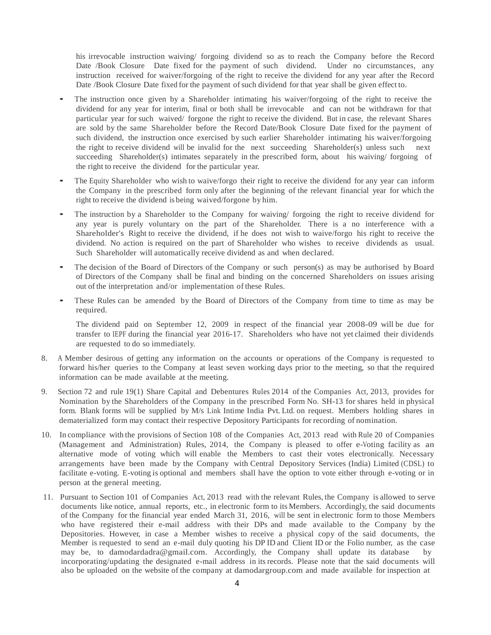his irrevocable instruction waiving/ forgoing dividend so as to reach the Company before the Record Date /Book Closure Date fixed for the payment of such dividend. Under no circumstances, any instruction received for waiver/forgoing of the right to receive the dividend for any year after the Record Date /Book Closure Date fixed for the payment of such dividend for that year shall be given effect to.

- The instruction once given by a Shareholder intimating his waiver/forgoing of the right to receive the dividend for any year for interim, final or both shall be irrevocable and can not be withdrawn for that particular year for such waived/ forgone the right to receive the dividend. But in case, the relevant Shares are sold by the same Shareholder before the Record Date/Book Closure Date fixed for the payment of such dividend, the instruction once exercised by such earlier Shareholder intimating his waiver/forgoing the right to receive dividend will be invalid for the next succeeding Shareholder(s) unless such next succeeding Shareholder(s) intimates separately in the prescribed form, about his waiving/ forgoing of the right to receive the dividend for the particular year.
- The Equity Shareholder who wish to waive/forgo their right to receive the dividend for any year can inform the Company in the prescribed form only after the beginning of the relevant financial year for which the right to receive the dividend is being waived/forgone by him.
- The instruction by a Shareholder to the Company for waiving/ forgoing the right to receive dividend for any year is purely voluntary on the part of the Shareholder. There is a no interference with a Shareholder's Right to receive the dividend, if he does not wish to waive/forgo his right to receive the dividend. No action is required on the part of Shareholder who wishes to receive dividends as usual. Such Shareholder will automatically receive dividend as and when declared.
- The decision of the Board of Directors of the Company or such person(s) as may be authorised by Board of Directors of the Company shall be final and binding on the concerned Shareholders on issues arising out of the interpretation and/or implementation of these Rules.
- These Rules can be amended by the Board of Directors of the Company from time to time as may be required.

The dividend paid on September 12, 2009 in respect of the financial year 2008-09 will be due for transfer to IEPF during the financial year 2016-17. Shareholders who have not yet claimed their dividends are requested to do so immediately.

- 8. A Member desirous of getting any information on the accounts or operations of the Company is requested to forward his/her queries to the Company at least seven working days prior to the meeting, so that the required information can be made available at the meeting.
- 9. Section 72 and rule 19(1) Share Capital and Debentures Rules 2014 of the Companies Act, 2013, provides for Nomination by the Shareholders of the Company in the prescribed Form No. SH-13 for shares held in physical form. Blank forms will be supplied by M/s Link Intime India Pvt. Ltd. on request. Members holding shares in dematerialized form may contact their respective Depository Participants for recording of nomination.
- 10. In compliance with the provisions of Section 108 of the Companies Act, 2013 read with Rule 20 of Companies (Management and Administration) Rules, 2014, the Company is pleased to offer e-Voting facility as an alternative mode of voting which will enable the Members to cast their votes electronically. Necessary arrangements have been made by the Company with Central Depository Services (India) Limited (CDSL) to facilitate e-voting. E-voting is optional and members shall have the option to vote either through e-voting or in person at the general meeting.
- 11. Pursuant to Section 101 of Companies Act, 2013 read with the relevant Rules, the Company is allowed to serve documents like notice, annual reports, etc., in electronic form to its Members. Accordingly, the said documents of the Company for the financial year ended March 31, 2016, will be sent in electronic form to those Members who have registered their e-mail address with their DPs and made available to the Company by the Depositories. However, in case a Member wishes to receive a physical copy of the said documents, the Member is requested to send an e-mail duly quoting his DP ID and Client ID or the Folio number, as the case may be, to damodardadra@gmail.com. Accordingly, the Company shall update its database by incorporating/updating the designated e-mail address in its records. Please note that the said documents will also be uploaded on the website of the company at damodargroup.com and made available for inspection at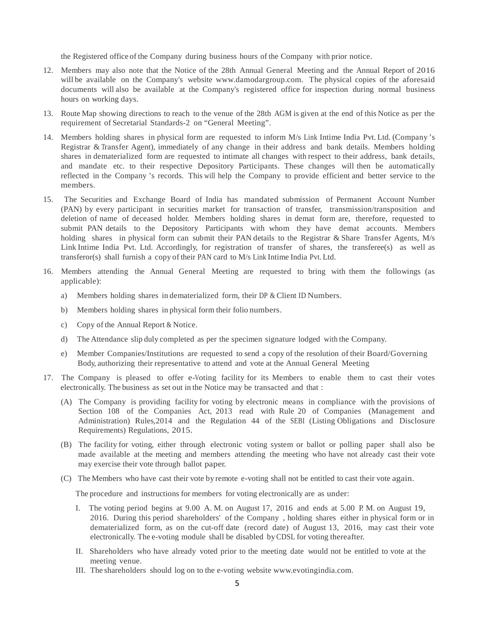the Registered office of the Company during business hours of the Company with prior notice.

- 12. Members may also note that the Notice of the 28th Annual General Meeting and the Annual Report of 2016 will be available on the Company's website www.damodargroup.com. The physical copies of the aforesaid documents will also be available at the Company's registered office for inspection during normal business hours on working days.
- 13. Route Map showing directions to reach to the venue of the 28th AGM is given at the end of this Notice as per the requirement of Secretarial Standards-2 on "General Meeting".
- 14. Members holding shares in physical form are requested to inform M/s Link Intime India Pvt. Ltd. (Company 's Registrar & Transfer Agent), immediately of any change in their address and bank details. Members holding shares in dematerialized form are requested to intimate all changes with respect to their address, bank details, and mandate etc. to their respective Depository Participants. These changes will then be automatically reflected in the Company 's records. This will help the Company to provide efficient and better service to the members.
- 15. The Securities and Exchange Board of India has mandated submission of Permanent Account Number (PAN) by every participant in securities market for transaction of transfer, transmission/transposition and deletion of name of deceased holder. Members holding shares in demat form are, therefore, requested to submit PAN details to the Depository Participants with whom they have demat accounts. Members holding shares in physical form can submit their PAN details to the Registrar & Share Transfer Agents, M/s Link Intime India Pvt. Ltd. Accordingly, for registration of transfer of shares, the transferee(s) as well as transferor(s) shall furnish a copy of their PAN card to M/s Link Intime India Pvt. Ltd.
- 16. Members attending the Annual General Meeting are requested to bring with them the followings (as applicable):
	- a) Members holding shares in dematerialized form, their DP & Client ID Numbers.
	- b) Members holding shares in physical form their folio numbers.
	- c) Copy of the Annual Report & Notice.
	- d) The Attendance slip duly completed as per the specimen signature lodged with the Company.
	- e) Member Companies/Institutions are requested to send a copy of the resolution of their Board/Governing Body, authorizing their representative to attend and vote at the Annual General Meeting
- 17. The Company is pleased to offer e-Voting facility for its Members to enable them to cast their votes electronically. The business as set out in the Notice may be transacted and that :
	- (A) The Company is providing facility for voting by electronic means in compliance with the provisions of Section 108 of the Companies Act, 2013 read with Rule 20 of Companies (Management and Administration) Rules,2014 and the Regulation 44 of the SEBI (Listing Obligations and Disclosure Requirements) Regulations, 2015.
	- (B) The facility for voting, either through electronic voting system or ballot or polling paper shall also be made available at the meeting and members attending the meeting who have not already cast their vote may exercise their vote through ballot paper.
	- (C) The Members who have cast their vote by remote e-voting shall not be entitled to cast their vote again.

The procedure and instructions for members for voting electronically are as under:

- I. The voting period begins at 9.00 A. M. on August 17, 2016 and ends at 5.00 P. M. on August 19, 2016. During this period shareholders' of the Company , holding shares either in physical form or in dematerialized form, as on the cut-off date (record date) of August 13, 2016, may cast their vote electronically. The e-voting module shall be disabled by CDSL for voting thereafter.
- II. Shareholders who have already voted prior to the meeting date would not be entitled to vote at the meeting venue.
- III. The shareholders should log on to the e-voting website www.evotingindia.com.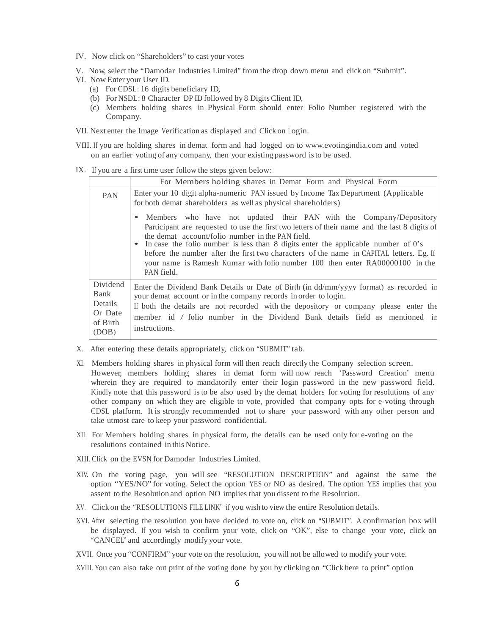- IV. Now click on "Shareholders" to cast your votes
- V. Now, select the "Damodar Industries Limited" from the drop down menu and click on "Submit".
- VI. Now Enter your User ID.
	- (a) For CDSL: 16 digits beneficiary ID,
	- (b) For NSDL: 8 Character DP ID followed by 8 Digits Client ID,
	- (c) Members holding shares in Physical Form should enter Folio Number registered with the Company.
- VII. Next enter the Image Verification as displayed and Click on Login.
- VIII. If you are holding shares in demat form and had logged on to www.evotingindia.com and voted on an earlier voting of any company, then your existing password is to be used.

IX. If you are a first time user follow the steps given below:

|                                                             | For Members holding shares in Demat Form and Physical Form                                                                                                                                                                                                                                                                                                                                                                                                                                                |  |  |  |
|-------------------------------------------------------------|-----------------------------------------------------------------------------------------------------------------------------------------------------------------------------------------------------------------------------------------------------------------------------------------------------------------------------------------------------------------------------------------------------------------------------------------------------------------------------------------------------------|--|--|--|
| <b>PAN</b>                                                  | Enter your 10 digit alpha-numeric PAN issued by Income Tax Department (Applicable<br>for both demat shareholders as well as physical shareholders)                                                                                                                                                                                                                                                                                                                                                        |  |  |  |
|                                                             | • Members who have not updated their PAN with the Company/Depository<br>Participant are requested to use the first two letters of their name and the last 8 digits of<br>the demat account/folio number in the PAN field.<br>• In case the folio number is less than 8 digits enter the applicable number of 0's<br>before the number after the first two characters of the name in CAPITAL letters. Eg. If<br>your name is Ramesh Kumar with folio number 100 then enter RA00000100 in the<br>PAN field. |  |  |  |
| Dividend<br>Bank<br>Details<br>Or Date<br>of Birth<br>(DOB) | Enter the Dividend Bank Details or Date of Birth (in dd/mm/yyyy format) as recorded in<br>your demat account or in the company records in order to login.<br>If both the details are not recorded with the depository or company please enter the<br>member id / folio number in the Dividend Bank details field as mentioned in<br>instructions.                                                                                                                                                         |  |  |  |

- X. After entering these details appropriately, click on "SUBMIT" tab.
- XI. Members holding shares in physical form will then reach directly the Company selection screen. However, members holding shares in demat form will now reach 'Password Creation' menu wherein they are required to mandatorily enter their login password in the new password field. Kindly note that this password is to be also used by the demat holders for voting for resolutions of any other company on which they are eligible to vote, provided that company opts for e-voting through CDSL platform. It is strongly recommended not to share your password with any other person and take utmost care to keep your password confidential.
- XII. For Members holding shares in physical form, the details can be used only for e-voting on the resolutions contained in this Notice.
- XIII. Click on the EVSN for Damodar Industries Limited.
- XIV. On the voting page, you will see "RESOLUTION DESCRIPTION" and against the same the option "YES/NO" for voting. Select the option YES or NO as desired. The option YES implies that you assent to the Resolution and option NO implies that you dissent to the Resolution.
- XV. Click on the "RESOLUTIONS FILE LINK" if you wish to view the entire Resolution details.
- XVI. After selecting the resolution you have decided to vote on, click on "SUBMIT". A confirmation box will be displayed. If you wish to confirm your vote, click on "OK", else to change your vote, click on "CANCEL" and accordingly modify your vote.

XVII. Once you "CONFIRM" your vote on the resolution, you will not be allowed to modify your vote.

XVIII. You can also take out print of the voting done by you by clicking on "Click here to print" option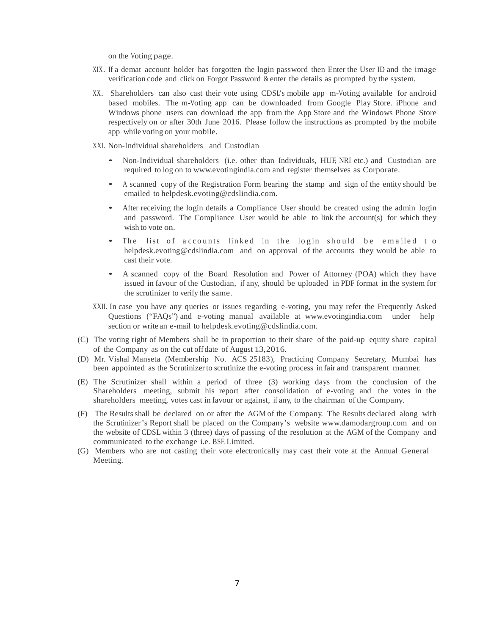on the Voting page.

- XIX. If a demat account holder has forgotten the login password then Enter the User ID and the image verification code and click on Forgot Password & enter the details as prompted by the system.
- XX. Shareholders can also cast their vote using CDSL's mobile app m-Voting available for android based mobiles. The m-Voting app can be downloaded from Google Play Store. iPhone and Windows phone users can download the app from the App Store and the Windows Phone Store respectively on or after 30th June 2016. Please follow the instructions as prompted by the mobile app while voting on your mobile.
- XXI. Non-Individual shareholders and Custodian
	- Non-Individual shareholders (i.e. other than Individuals, HUF, NRI etc.) and Custodian are required to log on to www.evotingindia.com and register themselves as Corporate.
	- A scanned copy of the Registration Form bearing the stamp and sign of the entity should be emailed to helpdesk.evoting@cdslindia.com.
	- After receiving the login details a Compliance User should be created using the admin login and password. The Compliance User would be able to link the account(s) for which they wish to vote on.
	- The list of accounts linked in the login should be emailed to helpdesk.evoting@cdslindia.com and on approval of the accounts they would be able to cast their vote.
	- A scanned copy of the Board Resolution and Power of Attorney (POA) which they have issued in favour of the Custodian, if any, should be uploaded in PDF format in the system for the scrutinizer to verify the same.
- XXII. In case you have any queries or issues regarding e-voting, you may refer the Frequently Asked Questions ("FAQs") and e-voting manual available at www.evotingindia.com under help section or write an e-mail to helpdesk.evoting@cdslindia.com.
- (C) The voting right of Members shall be in proportion to their share of the paid-up equity share capital of the Company as on the cut off date of August 13,2016.
- (D) Mr. Vishal Manseta (Membership No. ACS 25183), Practicing Company Secretary, Mumbai has been appointed as the Scrutinizer to scrutinize the e-voting process in fair and transparent manner.
- (E) The Scrutinizer shall within a period of three (3) working days from the conclusion of the Shareholders meeting, submit his report after consolidation of e-voting and the votes in the shareholders meeting, votes cast in favour or against, if any, to the chairman of the Company.
- (F) The Results shall be declared on or after the AGM of the Company. The Results declared along with the Scrutinizer 's Report shall be placed on the Company's website www.damodargroup.com and on the website of CDSL within 3 (three) days of passing of the resolution at the AGM of the Company and communicated to the exchange i.e. BSE Limited.
- (G) Members who are not casting their vote electronically may cast their vote at the Annual General Meeting.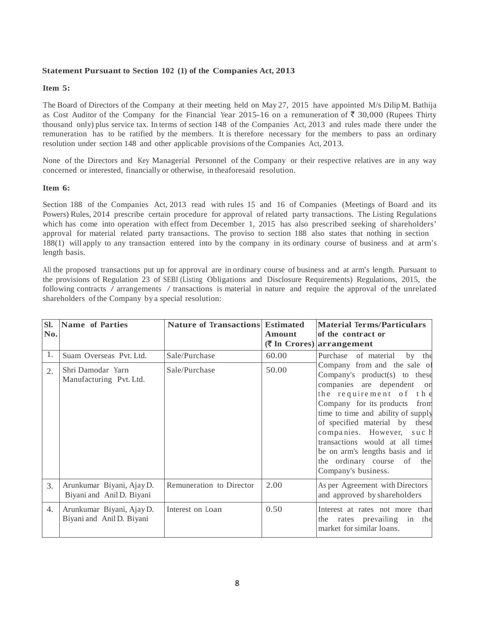## **Statement Pursuant to Section 102 (1) of the Companies Act, 2013**

## **Item 5:**

The Board of Directors of the Company at their meeting held on May 27, 2015 have appointed M/s Dilip M. Bathija as Cost Auditor of the Company for the Financial Year 2015-16 on a remuneration of  $\bar{\bar{\tau}}$  30,000 (Rupees Thirty thousand only) plus service tax. In terms of section 148 of the Companies Act, 2013 and rules made there under the remuneration has to be ratified by the members. It is therefore necessary for the members to pass an ordinary resolution under section 148 and other applicable provisions of the Companies Act, 2013.

None of the Directors and Key Managerial Personnel of the Company or their respective relatives are in any way concerned or interested, financially or otherwise, in theaforesaid resolution.

## **Item 6:**

Section 188 of the Companies Act, 2013 read with rules 15 and 16 of Companies (Meetings of Board and its Powers) Rules, 2014 prescribe certain procedure for approval of related party transactions. The Listing Regulations which has come into operation with effect from December 1, 2015 has also prescribed seeking of shareholders' approval for material related party transactions. The proviso to section 188 also states that nothing in section 188(1) will apply to any transaction entered into by the company in its ordinary course of business and at arm's length basis.

All the proposed transactions put up for approval are in ordinary course of business and at arm's length. Pursuant to the provisions of Regulation 23 of SEBI (Listing Obligations and Disclosure Requirements) Regulations, 2015, the following contracts / arrangements / transactions is material in nature and require the approval of the unrelated shareholders of the Company by a special resolution:

| Sl.<br>No. | <b>Name of Parties</b>                                 | <b>Nature of Transactions Estimated</b> | Amount | <b>Material Terms/Particulars</b><br>of the contract or<br>$(\overline{\mathbf{\mathcal{R}}}$ In Crores) arrangement                                                                                                                                                                                                                                                                   |
|------------|--------------------------------------------------------|-----------------------------------------|--------|----------------------------------------------------------------------------------------------------------------------------------------------------------------------------------------------------------------------------------------------------------------------------------------------------------------------------------------------------------------------------------------|
| 1.         | Suam Overseas Pvt. Ltd.                                | Sale/Purchase                           | 60.00  | Purchase of material<br>by the                                                                                                                                                                                                                                                                                                                                                         |
| 2.         | Shri Damodar Yarn<br>Manufacturing Pvt. Ltd.           | Sale/Purchase                           | 50.00  | Company from and the sale of<br>Company's product(s) to these<br>companies are dependent on<br>the requirement of the<br>Company for its products from<br>time to time and ability of supply<br>of specified material by these<br>companies. However, such<br>transactions would at all times<br>be on arm's lengths basis and in<br>the ordinary course of the<br>Company's business. |
| 3.         | Arunkumar Biyani, Ajay D.<br>Biyani and Anil D. Biyani | Remuneration to Director                | 2.00   | As per Agreement with Directors<br>and approved by shareholders                                                                                                                                                                                                                                                                                                                        |
| 4.         | Arunkumar Biyani, Ajay D.<br>Biyani and Anil D. Biyani | Interest on Loan                        | 0.50   | Interest at rates not more than<br>the rates prevailing in the<br>market for similar loans.                                                                                                                                                                                                                                                                                            |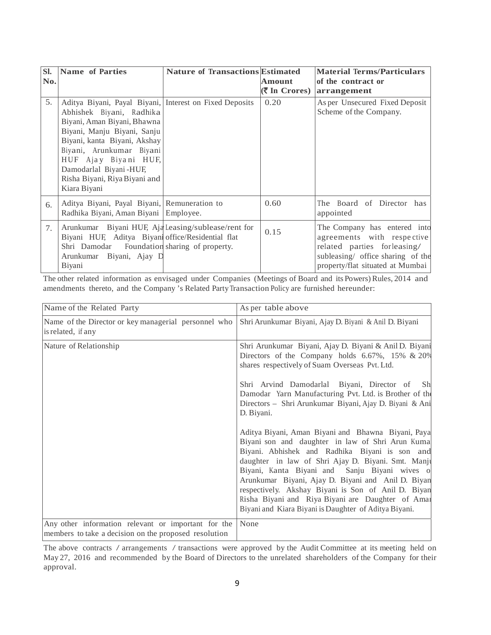| SI.<br>No. | Name of Parties                                                                                                                                                                                                                                                                                                  | <b>Nature of Transactions Estimated</b> | <b>Amount</b> | <b>Material Terms/Particulars</b><br>of the contract or<br>$(\bar{\bar{\mathbf{\mathsf{z}}}}$ In Crores) arrangement                                                |
|------------|------------------------------------------------------------------------------------------------------------------------------------------------------------------------------------------------------------------------------------------------------------------------------------------------------------------|-----------------------------------------|---------------|---------------------------------------------------------------------------------------------------------------------------------------------------------------------|
| 5.         | Aditya Biyani, Payal Biyani, Interest on Fixed Deposits<br>Abhishek Biyani, Radhika<br>Biyani, Aman Biyani, Bhawna<br>Biyani, Manju Biyani, Sanju<br>Biyani, kanta Biyani, Akshay<br>Biyani, Arunkumar Biyani<br>HUF Ajay Biyani HUF,<br>Damodarlal Biyani-HUF,<br>Risha Biyani, Riya Biyani and<br>Kiara Biyani |                                         | 0.20          | As per Unsecured Fixed Deposit<br>Scheme of the Company.                                                                                                            |
| 6.         | Aditya Biyani, Payal Biyani, Remuneration to<br>Radhika Biyani, Aman Biyani Employee.                                                                                                                                                                                                                            |                                         | 0.60          | The Board of Director has<br>appointed                                                                                                                              |
| 7.         | Arunkumar Biyani HUF, Aja Leasing/sublease/rent for<br>Biyani HUF, Aditya Biyani office/Residential flat<br>Shri Damodar<br>Arunkumar<br>Biyani, Ajay D<br>Biyani                                                                                                                                                | Foundation sharing of property.         | 0.15          | The Company has entered into<br>agreements with respective<br>related parties for leasing/<br>subleasing/ office sharing of the<br>property/flat situated at Mumbai |

The other related information as envisaged under Companies (Meetings of Board and its Powers) Rules, 2014 and amendments thereto, and the Company 's Related Party Transaction Policy are furnished hereunder:

| Name of the Related Party                                                                                    | As per table above                                                                                                                                                                                                                                                                                                                                                                                                                                                                                                                                                                                                    |
|--------------------------------------------------------------------------------------------------------------|-----------------------------------------------------------------------------------------------------------------------------------------------------------------------------------------------------------------------------------------------------------------------------------------------------------------------------------------------------------------------------------------------------------------------------------------------------------------------------------------------------------------------------------------------------------------------------------------------------------------------|
| Name of the Director or key managerial personnel who<br>is related, if any                                   | Shri Arunkumar Biyani, Ajay D. Biyani & Anil D. Biyani                                                                                                                                                                                                                                                                                                                                                                                                                                                                                                                                                                |
| Nature of Relationship                                                                                       | Shri Arunkumar Biyani, Ajay D. Biyani & Anil D. Biyani<br>Directors of the Company holds 6.67%, 15% & 20%<br>shares respectively of Suam Overseas Pvt. Ltd.<br>Shri Arvind Damodarlal Biyani, Director of<br>Sh<br>Damodar Yarn Manufacturing Pvt. Ltd. is Brother of the<br>Directors - Shri Arunkumar Biyani, Ajay D. Biyani & Ani<br>D. Biyani.<br>Aditya Biyani, Aman Biyani and Bhawna Biyani, Paya<br>Biyani son and daughter in law of Shri Arun Kuma<br>Biyani. Abhishek and Radhika Biyani is son and<br>daughter in law of Shri Ajay D. Biyani. Smt. Manji<br>Biyani, Kanta Biyani and Sanju Biyani wives o |
|                                                                                                              | Arunkumar Biyani, Ajay D. Biyani and Anil D. Biyan<br>respectively. Akshay Biyani is Son of Anil D. Biyan<br>Risha Biyani and Riya Biyani are Daughter of Amar<br>Biyani and Kiara Biyani is Daughter of Aditya Biyani.                                                                                                                                                                                                                                                                                                                                                                                               |
| Any other information relevant or important for the<br>members to take a decision on the proposed resolution | None                                                                                                                                                                                                                                                                                                                                                                                                                                                                                                                                                                                                                  |

The above contracts / arrangements / transactions were approved by the Audit Committee at its meeting held on May 27, 2016 and recommended by the Board of Directors to the unrelated shareholders of the Company for their approval.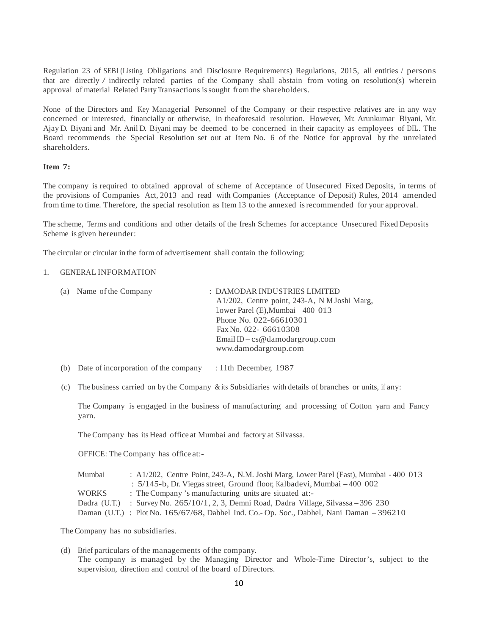Regulation 23 of SEBI (Listing Obligations and Disclosure Requirements) Regulations, 2015, all entities / persons that are directly / indirectly related parties of the Company shall abstain from voting on resolution(s) wherein approval of material Related Party Transactions is sought from the shareholders.

None of the Directors and Key Managerial Personnel of the Company or their respective relatives are in any way concerned or interested, financially or otherwise, in theaforesaid resolution. However, Mr. Arunkumar Biyani, Mr. Ajay D. Biyani and Mr. Anil D. Biyani may be deemed to be concerned in their capacity as employees of DIL. The Board recommends the Special Resolution set out at Item No. 6 of the Notice for approval by the unrelated shareholders.

## **Item 7:**

The company is required to obtained approval of scheme of Acceptance of Unsecured Fixed Deposits, in terms of the provisions of Companies Act, 2013 and read with Companies (Acceptance of Deposit) Rules, 2014 amended from time to time. Therefore, the special resolution as Item 13 to the annexed is recommended for your approval.

The scheme, Terms and conditions and other details of the fresh Schemes for acceptance Unsecured Fixed Deposits Scheme is given hereunder:

The circular or circular in the form of advertisement shall contain the following:

## 1. GENERAL INFORMATION

| (a) Name of the Company | : DAMODAR INDUSTRIES LIMITED                 |
|-------------------------|----------------------------------------------|
|                         | A1/202, Centre point, 243-A, N M Joshi Marg, |
|                         | Lower Parel $(E)$ , Mumbai $-400$ 013        |
|                         | Phone No. 022-66610301                       |
|                         | Fax No. 022-66610308                         |
|                         | Email ID – cs@damodargroup.com               |
|                         | www.damodargroup.com                         |
|                         |                                              |

- (b) Date of incorporation of the company : 11th December, 1987
- (c) The business carried on by the Company & its Subsidiaries with details of branches or units, if any:

The Company is engaged in the business of manufacturing and processing of Cotton yarn and Fancy yarn.

The Company has its Head office at Mumbai and factory at Silvassa.

OFFICE: The Company has office at:-

| Mumbai       | : $A1/202$ , Centre Point, 243-A, N.M. Joshi Marg, Lower Parel (East), Mumbai $-400$ 013   |
|--------------|--------------------------------------------------------------------------------------------|
|              | $\pm$ 5/145-b, Dr. Viegas street, Ground floor, Kalbadevi, Mumbai $-400002$                |
| <b>WORKS</b> | : The Company's manufacturing units are situated at:-                                      |
|              | Dadra (U.T.) : Survey No. $265/10/1$ , 2, 3, Demni Road, Dadra Village, Silvassa – 396 230 |
|              | Daman (U.T.) : Plot No. 165/67/68, Dabhel Ind. Co.- Op. Soc., Dabhel, Nani Daman - 396210  |

The Company has no subsidiaries.

(d) Brief particulars of the managements of the company. The company is managed by the Managing Director and Whole-Time Director 's, subject to the supervision, direction and control of the board of Directors.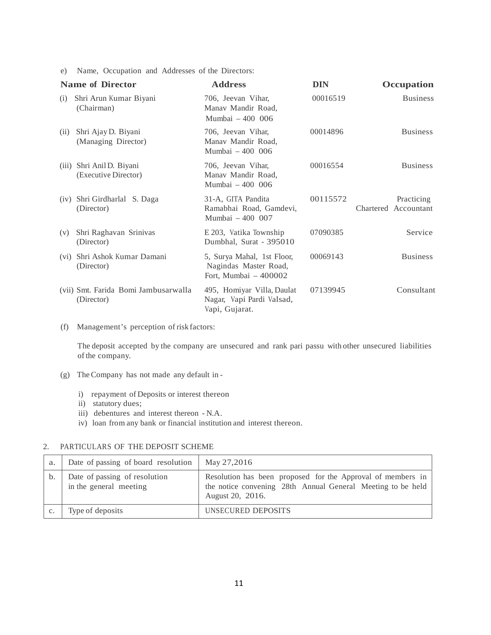e) Name, Occupation and Addresses of the Directors:

|                   | <b>Name of Director</b>                            | <b>Address</b>                                                               | <b>DIN</b> | Occupation                         |
|-------------------|----------------------------------------------------|------------------------------------------------------------------------------|------------|------------------------------------|
| (i)               | Shri Arun Kumar Biyani<br>(Chairman)               | 706, Jeevan Vihar,<br>Manav Mandir Road,<br>Mumbai - 400 006                 | 00016519   | <b>Business</b>                    |
| (ii)              | Shri Ajay D. Biyani<br>(Managing Director)         | 706, Jeevan Vihar,<br>Manav Mandir Road,<br>Mumbai - 400 006                 | 00014896   | <b>Business</b>                    |
| (111)             | Shri Anil D. Biyani<br>(Executive Director)        | 706, Jeevan Vihar,<br>Manav Mandir Road,<br>Mumbai - 400 006                 | 00016554   | <b>Business</b>                    |
| (iv)              | Shri Girdharlal S. Daga<br>(Director)              | 31-A, GITA Pandita<br>Ramabhai Road, Gamdevi,<br>Mumbai - 400 007            | 00115572   | Practicing<br>Chartered Accountant |
| (v)               | Shri Raghavan Srinivas<br>(Director)               | E 203, Vatika Township<br>Dumbhal, Surat - 395010                            | 07090385   | Service                            |
| (v <sub>i</sub> ) | Shri Ashok Kumar Damani<br>(Director)              | 5, Surya Mahal, 1st Floor,<br>Nagindas Master Road,<br>Fort, Mumbai - 400002 | 00069143   | <b>Business</b>                    |
|                   | (vii) Smt. Farida Bomi Jambusarwalla<br>(Director) | 495, Homiyar Villa, Daulat<br>Nagar, Vapi Pardi Valsad,<br>Vapi, Gujarat.    | 07139945   | Consultant                         |

(f) Management's perception of risk factors:

The deposit accepted by the company are unsecured and rank pari passu with other unsecured liabilities of the company.

- (g) The Company has not made any default in
	- i) repayment of Deposits or interest thereon
	- ii) statutory dues;
	- iii) debentures and interest thereon N.A.
	- iv) loan from any bank or financial institution and interest thereon.

## 2. PARTICULARS OF THE DEPOSIT SCHEME

| a. | Date of passing of board resolution                     | May 27,2016                                                                                                                                    |
|----|---------------------------------------------------------|------------------------------------------------------------------------------------------------------------------------------------------------|
| b. | Date of passing of resolution<br>in the general meeting | Resolution has been proposed for the Approval of members in<br>the notice convening 28th Annual General Meeting to be held<br>August 20, 2016. |
|    | Type of deposits                                        | UNSECURED DEPOSITS                                                                                                                             |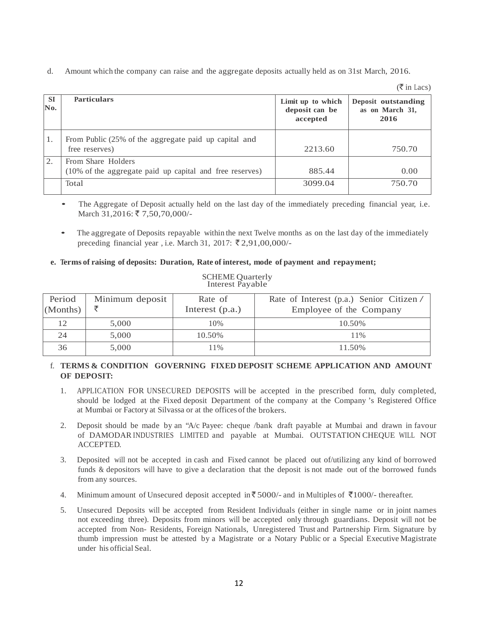d. Amount which the company can raise and the aggregate deposits actually held as on 31st March, 2016.

 $(\overline{\xi}$  in Lacs)

| <b>SI</b><br>No. | <b>Particulars</b>                                                             | Limit up to which<br>deposit can be<br>accepted | Deposit outstanding<br>as on March 31,<br>2016 |
|------------------|--------------------------------------------------------------------------------|-------------------------------------------------|------------------------------------------------|
| 1.               | From Public (25% of the aggregate paid up capital and<br>free reserves)        | 2213.60                                         | 750.70                                         |
| 2.               | From Share Holders<br>(10% of the aggregate paid up capital and free reserves) | 885.44                                          | 0.00                                           |
|                  | Total                                                                          | 3099.04                                         | 750.70                                         |

- The Aggregate of Deposit actually held on the last day of the immediately preceding financial year, i.e. March 31,2016: ₹ 7,50,70,000/-
- The aggregate of Deposits repayable within the next Twelve months as on the last day of the immediately preceding financial year , i.e. March 31, 2017:  $\bar{\xi}$  2,91,00,000/-

## **e. Terms of raising of deposits: Duration, Rate of interest, mode of payment and repayment;**

| Period<br>(Months) | Minimum deposit | Rate of<br>Interest $(p.a.)$ | Rate of Interest (p.a.) Senior Citizen/<br>Employee of the Company |  |
|--------------------|-----------------|------------------------------|--------------------------------------------------------------------|--|
| 12                 | 5,000           | 10%                          | 10.50%                                                             |  |
| 24                 | 5.000           | 10.50%                       | 11%                                                                |  |
| 36                 | 5,000           | 11%                          | 11.50%                                                             |  |

#### SCHEME Quarterly Interest Payable

## f. **TERMS & CONDITION GOVERNING FIXED DEPOSIT SCHEME APPLICATION AND AMOUNT OF DEPOSIT:**

- 1. APPLICATION FOR UNSECURED DEPOSITS will be accepted in the prescribed form, duly completed, should be lodged at the Fixed deposit Department of the company at the Company 's Registered Office at Mumbai or Factory at Silvassa or at the offices of the brokers.
- 2. Deposit should be made by an "A/c Payee: cheque /bank draft payable at Mumbai and drawn in favour of DAMODAR INDUSTRIES LIMITED and payable at Mumbai. OUTSTATION CHEQUE WILL NOT ACCEPTED.
- 3. Deposited will not be accepted in cash and Fixed cannot be placed out of/utilizing any kind of borrowed funds & depositors will have to give a declaration that the deposit is not made out of the borrowed funds from any sources.
- 4. Minimum amount of Unsecured deposit accepted in  $\overline{5}5000$ /- and in Multiples of  $\overline{5}1000$ /- thereafter.
- 5. Unsecured Deposits will be accepted from Resident Individuals (either in single name or in joint names not exceeding three). Deposits from minors will be accepted only through guardians. Deposit will not be accepted from Non- Residents, Foreign Nationals, Unregistered Trust and Partnership Firm. Signature by thumb impression must be attested by a Magistrate or a Notary Public or a Special Executive Magistrate under his official Seal.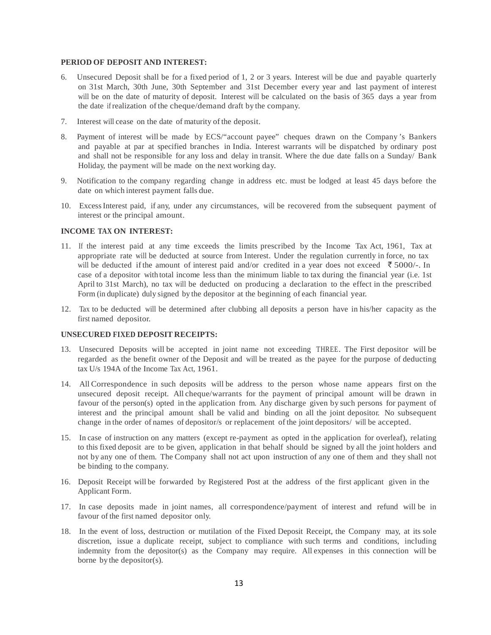## **PERIOD OF DEPOSIT AND INTEREST:**

- 6. Unsecured Deposit shall be for a fixed period of 1, 2 or 3 years. Interest will be due and payable quarterly on 31st March, 30th June, 30th September and 31st December every year and last payment of interest will be on the date of maturity of deposit. Interest will be calculated on the basis of 365 days a year from the date if realization of the cheque/demand draft by the company.
- 7. Interest will cease on the date of maturity of the deposit.
- 8. Payment of interest will be made by ECS/"account payee" cheques drawn on the Company 's Bankers and payable at par at specified branches in India. Interest warrants will be dispatched by ordinary post and shall not be responsible for any loss and delay in transit. Where the due date falls on a Sunday/ Bank Holiday, the payment will be made on the next working day.
- 9. Notification to the company regarding change in address etc. must be lodged at least 45 days before the date on which interest payment falls due.
- 10. Excess Interest paid, if any, under any circumstances, will be recovered from the subsequent payment of interest or the principal amount.

## **INCOME TAX ON INTEREST:**

- 11. If the interest paid at any time exceeds the limits prescribed by the Income Tax Act, 1961, Tax at appropriate rate will be deducted at source from Interest. Under the regulation currently in force, no tax will be deducted if the amount of interest paid and/or credited in a year does not exceed  $\bar{\tau}$  5000/-. In case of a depositor with total income less than the minimum liable to tax during the financial year (i.e. 1st April to 31st March), no tax will be deducted on producing a declaration to the effect in the prescribed Form (in duplicate) duly signed by the depositor at the beginning of each financial year.
- 12. Tax to be deducted will be determined after clubbing all deposits a person have in his/her capacity as the first named depositor.

## **UNSECURED FIXED DEPOSIT RECEIPTS:**

- 13. Unsecured Deposits will be accepted in joint name not exceeding THREE. The First depositor will be regarded as the benefit owner of the Deposit and will be treated as the payee for the purpose of deducting tax U/s 194A of the Income Tax Act, 1961.
- 14. All Correspondence in such deposits will be address to the person whose name appears first on the unsecured deposit receipt. All cheque/warrants for the payment of principal amount will be drawn in favour of the person(s) opted in the application from. Any discharge given by such persons for payment of interest and the principal amount shall be valid and binding on all the joint depositor. No subsequent change in the order of names of depositor/s or replacement of the joint depositors/ will be accepted.
- 15. In case of instruction on any matters (except re-payment as opted in the application for overleaf), relating to this fixed deposit are to be given, application in that behalf should be signed by all the joint holders and not by any one of them. The Company shall not act upon instruction of any one of them and they shall not be binding to the company.
- 16. Deposit Receipt will be forwarded by Registered Post at the address of the first applicant given in the Applicant Form.
- 17. In case deposits made in joint names, all correspondence/payment of interest and refund will be in favour of the first named depositor only.
- 18. In the event of loss, destruction or mutilation of the Fixed Deposit Receipt, the Company may, at its sole discretion, issue a duplicate receipt, subject to compliance with such terms and conditions, including indemnity from the depositor(s) as the Company may require. All expenses in this connection will be borne by the depositor(s).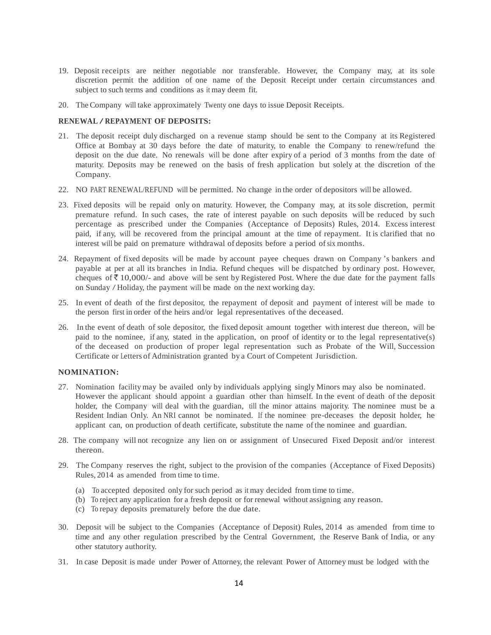- 19. Deposit receipts are neither negotiable nor transferable. However, the Company may, at its sole discretion permit the addition of one name of the Deposit Receipt under certain circumstances and subject to such terms and conditions as it may deem fit.
- 20. The Company will take approximately Twenty one days to issue Deposit Receipts.

## **RENEWAL / REPAYMENT OF DEPOSITS:**

- 21. The deposit receipt duly discharged on a revenue stamp should be sent to the Company at its Registered Office at Bombay at 30 days before the date of maturity, to enable the Company to renew/refund the deposit on the due date. No renewals will be done after expiry of a period of 3 months from the date of maturity. Deposits may be renewed on the basis of fresh application but solely at the discretion of the Company.
- 22. NO PART RENEWAL/REFUND will be permitted. No change in the order of depositors will be allowed.
- 23. Fixed deposits will be repaid only on maturity. However, the Company may, at its sole discretion, permit premature refund. In such cases, the rate of interest payable on such deposits will be reduced by such percentage as prescribed under the Companies (Acceptance of Deposits) Rules, 2014. Excess interest paid, if any, will be recovered from the principal amount at the time of repayment. It is clarified that no interest will be paid on premature withdrawal of deposits before a period of six months.
- 24. Repayment of fixed deposits will be made by account payee cheques drawn on Company 's bankers and payable at per at all its branches in India. Refund cheques will be dispatched by ordinary post. However, cheques of  $\bar{\tau}$  10,000/- and above will be sent by Registered Post. Where the due date for the payment falls on Sunday / Holiday, the payment will be made on the next working day.
- 25. In event of death of the first depositor, the repayment of deposit and payment of interest will be made to the person first in order of the heirs and/or legal representatives of the deceased.
- 26. In the event of death of sole depositor, the fixed deposit amount together with interest due thereon, will be paid to the nominee, if any, stated in the application, on proof of identity or to the legal representative(s) of the deceased on production of proper legal representation such as Probate of the Will, Succession Certificate or Letters of Administration granted by a Court of Competent Jurisdiction.

#### **NOMINATION:**

- 27. Nomination facility may be availed only by individuals applying singly Minors may also be nominated. However the applicant should appoint a guardian other than himself. In the event of death of the deposit holder, the Company will deal with the guardian, till the minor attains majority. The nominee must be a Resident Indian Only. An NRI cannot be nominated. If the nominee pre-deceases the deposit holder, he applicant can, on production of death certificate, substitute the name of the nominee and guardian.
- 28. The company will not recognize any lien on or assignment of Unsecured Fixed Deposit and/or interest thereon.
- 29. The Company reserves the right, subject to the provision of the companies (Acceptance of Fixed Deposits) Rules, 2014 as amended from time to time.
	- (a) To accepted deposited only for such period as it may decided from time to time.
	- (b) To reject any application for a fresh deposit or for renewal without assigning any reason.
	- (c) To repay deposits prematurely before the due date.
- 30. Deposit will be subject to the Companies (Acceptance of Deposit) Rules, 2014 as amended from time to time and any other regulation prescribed by the Central Government, the Reserve Bank of India, or any other statutory authority.
- 31. In case Deposit is made under Power of Attorney, the relevant Power of Attorney must be lodged with the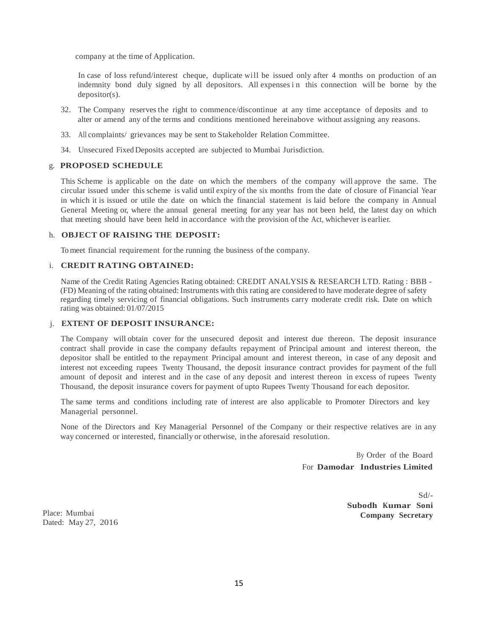company at the time of Application.

In case of loss refund/interest cheque, duplicate will be issued only after 4 months on production of an indemnity bond duly signed by all depositors. All expenses in this connection will be borne by the depositor(s).

- 32. The Company reserves the right to commence/discontinue at any time acceptance of deposits and to alter or amend any of the terms and conditions mentioned hereinabove without assigning any reasons.
- 33. All complaints/ grievances may be sent to Stakeholder Relation Committee.
- 34. Unsecured Fixed Deposits accepted are subjected to Mumbai Jurisdiction.

## g. **PROPOSED SCHEDULE**

This Scheme is applicable on the date on which the members of the company will approve the same. The circular issued under this scheme is valid until expiry of the six months from the date of closure of Financial Year in which it is issued or utile the date on which the financial statement is laid before the company in Annual General Meeting or, where the annual general meeting for any year has not been held, the latest day on which that meeting should have been held in accordance with the provision of the Act, whichever is earlier.

#### h. **OBJECT OF RAISING THE DEPOSIT:**

To meet financial requirement for the running the business of the company.

## i. **CREDIT RATING OBTAINED:**

Name of the Credit Rating Agencies Rating obtained: CREDIT ANALYSIS & RESEARCH LTD. Rating : BBB - (FD) Meaning of the rating obtained: Instruments with this rating are considered to have moderate degree of safety regarding timely servicing of financial obligations. Such instruments carry moderate credit risk. Date on which rating was obtained: 01/07/2015

#### j. **EXTENT OF DEPOSIT INSURANCE:**

The Company will obtain cover for the unsecured deposit and interest due thereon. The deposit insurance contract shall provide in case the company defaults repayment of Principal amount and interest thereon, the depositor shall be entitled to the repayment Principal amount and interest thereon, in case of any deposit and interest not exceeding rupees Twenty Thousand, the deposit insurance contract provides for payment of the full amount of deposit and interest and in the case of any deposit and interest thereon in excess of rupees Twenty Thousand, the deposit insurance covers for payment of upto Rupees Twenty Thousand for each depositor.

The same terms and conditions including rate of interest are also applicable to Promoter Directors and key Managerial personnel.

None of the Directors and Key Managerial Personnel of the Company or their respective relatives are in any way concerned or interested, financially or otherwise, in the aforesaid resolution.

> By Order of the Board For **Damodar Industries Limited**

> > Sd/- **Subodh Kumar Soni Company Secretary**

Place: Mumbai Dated: May 27, 2016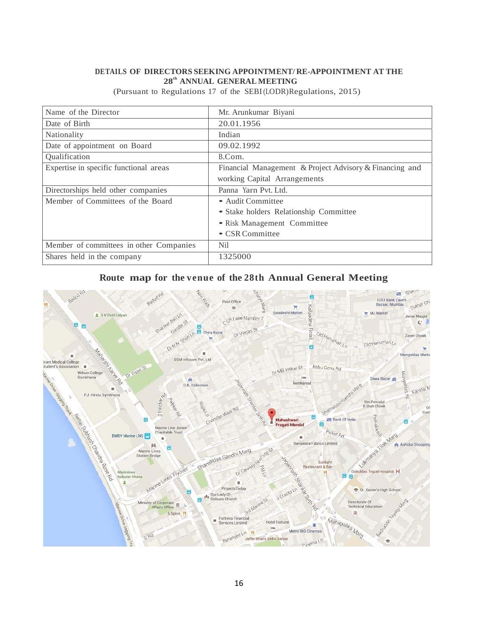# **DETAILS OF DIRECTORS SEEKING APPOINTMENT/ RE-APPOINTMENT AT THE 28th ANNUAL GENERAL MEETING**

| Name of the Director                    | Mr. Arunkumar Biyani                                    |
|-----------------------------------------|---------------------------------------------------------|
| Date of Birth                           | 20.01.1956                                              |
| Nationality                             | Indian                                                  |
| Date of appointment on Board            | 09.02.1992                                              |
| Qualification                           | B.Com.                                                  |
| Expertise in specific functional areas  | Financial Management & Project Advisory & Financing and |
|                                         | working Capital Arrangements                            |
| Directorships held other companies      | Panna Yarn Pvt. Ltd.                                    |
| Member of Committees of the Board       | • Audit Committee                                       |
|                                         | • Stake holders Relationship Committee                  |
|                                         | • Risk Management Committee                             |
|                                         | • CSR Committee                                         |
| Member of committees in other Companies | Nil                                                     |
| Shares held in the company              | 1325000                                                 |

(Pursuant to Regulations 17 of the SEBI (LODR)Regulations, 2015)

# Route map for the venue of the 28th Annual General Meeting